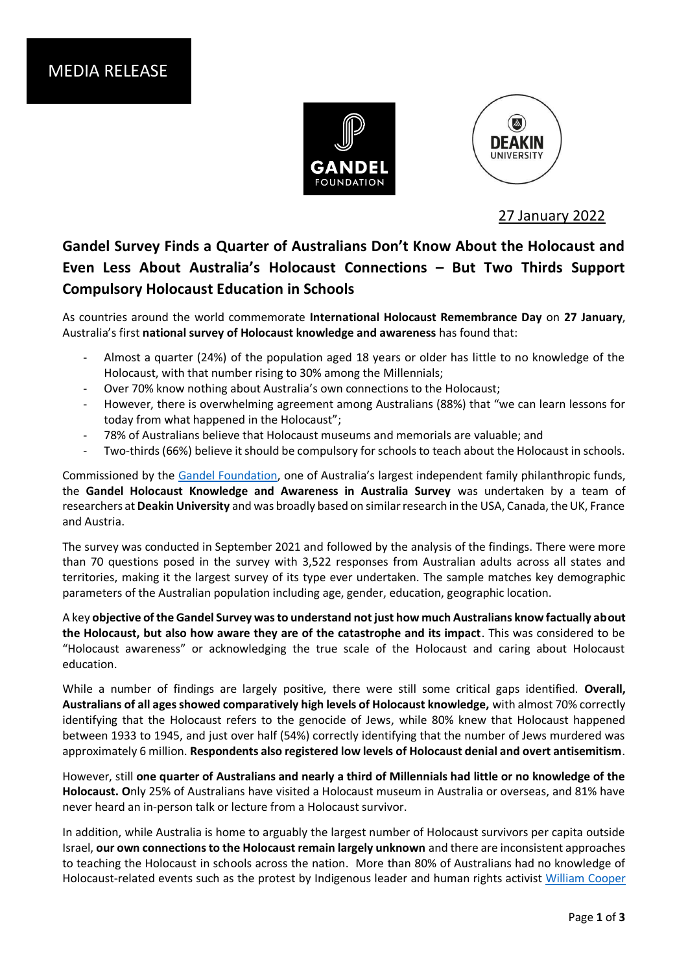



27 January 2022

## **Gandel Survey Finds a Quarter of Australians Don't Know About the Holocaust and Even Less About Australia's Holocaust Connections – But Two Thirds Support Compulsory Holocaust Education in Schools**

As countries around the world commemorate **International Holocaust Remembrance Day** on **27 January**, Australia's first **national survey of Holocaust knowledge and awareness** has found that:

- Almost a quarter (24%) of the population aged 18 years or older has little to no knowledge of the Holocaust, with that number rising to 30% among the Millennials;
- Over 70% know nothing about Australia's own connections to the Holocaust;
- However, there is overwhelming agreement among Australians (88%) that "we can learn lessons for today from what happened in the Holocaust";
- 78% of Australians believe that Holocaust museums and memorials are valuable; and
- Two-thirds (66%) believe it should be compulsory for schools to teach about the Holocaust in schools.

Commissioned by the [Gandel Foundation](https://gandelfoundation.org.au/), one of Australia's largest independent family philanthropic funds, the **Gandel Holocaust Knowledge and Awareness in Australia Survey** was undertaken by a team of researchers at **Deakin University** and was broadly based on similar research in the USA, Canada, the UK, France and Austria.

The survey was conducted in September 2021 and followed by the analysis of the findings. There were more than 70 questions posed in the survey with 3,522 responses from Australian adults across all states and territories, making it the largest survey of its type ever undertaken. The sample matches key demographic parameters of the Australian population including age, gender, education, geographic location.

A key **objective of the Gandel Survey was to understand not just how much Australians know factually about the Holocaust, but also how aware they are of the catastrophe and its impact**. This was considered to be "Holocaust awareness" or acknowledging the true scale of the Holocaust and caring about Holocaust education.

While a number of findings are largely positive, there were still some critical gaps identified. **Overall, Australians of all ages showed comparatively high levels of Holocaust knowledge,** with almost 70% correctly identifying that the Holocaust refers to the genocide of Jews, while 80% knew that Holocaust happened between 1933 to 1945, and just over half (54%) correctly identifying that the number of Jews murdered was approximately 6 million. **Respondents also registered low levels of Holocaust denial and overt antisemitism**.

However, still **one quarter of Australians and nearly a third of Millennials had little or no knowledge of the Holocaust. O**nly 25% of Australians have visited a Holocaust museum in Australia or overseas, and 81% have never heard an in-person talk or lecture from a Holocaust survivor.

In addition, while Australia is home to arguably the largest number of Holocaust survivors per capita outside Israel, **our own connections to the Holocaust remain largely unknown** and there are inconsistent approaches to teaching the Holocaust in schools across the nation. More than 80% of Australians had no knowledge of Holocaust-related events such as the protest by Indigenous leader and human rights activist [William Cooper](https://en.wikipedia.org/wiki/William_Cooper_(Aboriginal_Australian))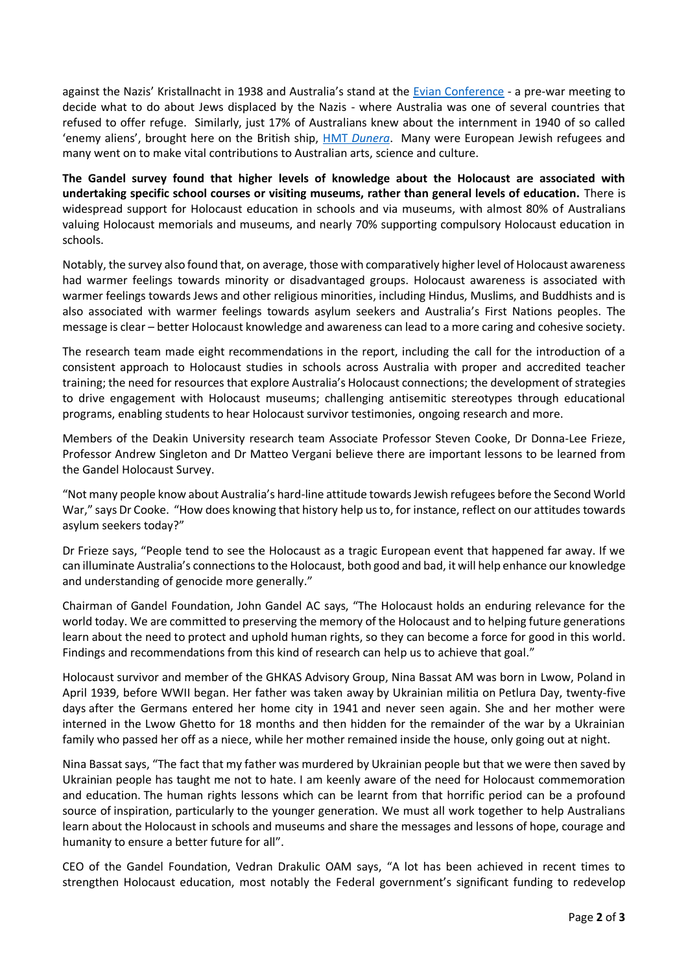against the Nazis' Kristallnacht in 1938 and Australia's stand at the [Evian Conference](https://en.wikipedia.org/wiki/Évian_Conference) - a pre-war meeting to decide what to do about Jews displaced by the Nazis - where Australia was one of several countries that refused to offer refuge. Similarly, just 17% of Australians knew about the internment in 1940 of so called 'enemy aliens', brought here on the British ship, HMT *[Dunera](https://en.wikipedia.org/wiki/HMT_Dunera)*. Many were European Jewish refugees and many went on to make vital contributions to Australian arts, science and culture.

**The Gandel survey found that higher levels of knowledge about the Holocaust are associated with undertaking specific school courses or visiting museums, rather than general levels of education.** There is widespread support for Holocaust education in schools and via museums, with almost 80% of Australians valuing Holocaust memorials and museums, and nearly 70% supporting compulsory Holocaust education in schools.

Notably, the survey also found that, on average, those with comparatively higher level of Holocaust awareness had warmer feelings towards minority or disadvantaged groups. Holocaust awareness is associated with warmer feelings towards Jews and other religious minorities, including Hindus, Muslims, and Buddhists and is also associated with warmer feelings towards asylum seekers and Australia's First Nations peoples. The message is clear – better Holocaust knowledge and awareness can lead to a more caring and cohesive society.

The research team made eight recommendations in the report, including the call for the introduction of a consistent approach to Holocaust studies in schools across Australia with proper and accredited teacher training; the need for resources that explore Australia's Holocaust connections; the development of strategies to drive engagement with Holocaust museums; challenging antisemitic stereotypes through educational programs, enabling students to hear Holocaust survivor testimonies, ongoing research and more.

Members of the Deakin University research team Associate Professor Steven Cooke, Dr Donna-Lee Frieze, Professor Andrew Singleton and Dr Matteo Vergani believe there are important lessons to be learned from the Gandel Holocaust Survey.

"Not many people know about Australia's hard-line attitude towardsJewish refugees before the Second World War," says Dr Cooke. "How does knowing that history help us to, for instance, reflect on our attitudes towards asylum seekers today?"

Dr Frieze says, "People tend to see the Holocaust as a tragic European event that happened far away. If we can illuminate Australia's connections to the Holocaust, both good and bad, it will help enhance our knowledge and understanding of genocide more generally."

Chairman of Gandel Foundation, John Gandel AC says, "The Holocaust holds an enduring relevance for the world today. We are committed to preserving the memory of the Holocaust and to helping future generations learn about the need to protect and uphold human rights, so they can become a force for good in this world. Findings and recommendations from this kind of research can help us to achieve that goal."

Holocaust survivor and member of the GHKAS Advisory Group, Nina Bassat AM was born in Lwow, Poland in April 1939, before WWII began. Her father was taken away by Ukrainian militia on Petlura Day, twenty-five days after the Germans entered her home city in 1941 and never seen again. She and her mother were interned in the Lwow Ghetto for 18 months and then hidden for the remainder of the war by a Ukrainian family who passed her off as a niece, while her mother remained inside the house, only going out at night.

Nina Bassat says, "The fact that my father was murdered by Ukrainian people but that we were then saved by Ukrainian people has taught me not to hate. I am keenly aware of the need for Holocaust commemoration and education. The human rights lessons which can be learnt from that horrific period can be a profound source of inspiration, particularly to the younger generation. We must all work together to help Australians learn about the Holocaust in schools and museums and share the messages and lessons of hope, courage and humanity to ensure a better future for all".

CEO of the Gandel Foundation, Vedran Drakulic OAM says, "A lot has been achieved in recent times to strengthen Holocaust education, most notably the Federal government's significant funding to redevelop